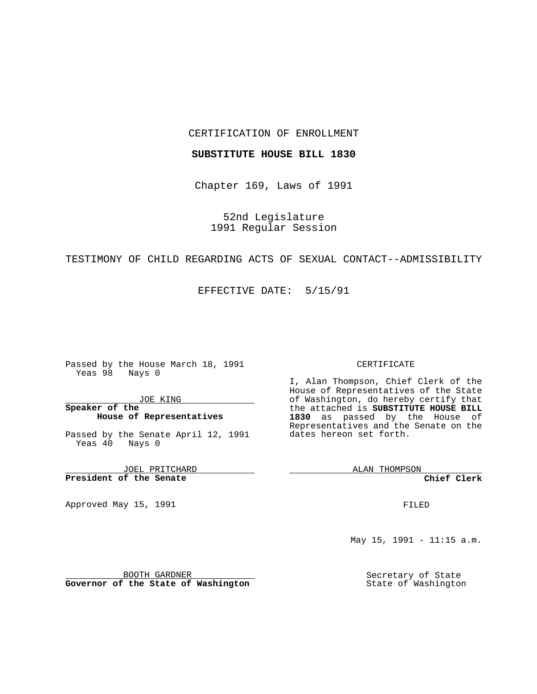#### CERTIFICATION OF ENROLLMENT

### **SUBSTITUTE HOUSE BILL 1830**

Chapter 169, Laws of 1991

52nd Legislature 1991 Regular Session

# TESTIMONY OF CHILD REGARDING ACTS OF SEXUAL CONTACT--ADMISSIBILITY

EFFECTIVE DATE: 5/15/91

Passed by the House March 18, 1991 Yeas 98 Nays 0

JOE KING

## **Speaker of the House of Representatives**

Passed by the Senate April 12, 1991 Yeas 40 Nays 0

JOEL PRITCHARD **President of the Senate**

Approved May 15, 1991

#### CERTIFICATE

I, Alan Thompson, Chief Clerk of the House of Representatives of the State of Washington, do hereby certify that the attached is **SUBSTITUTE HOUSE BILL 1830** as passed by the House of Representatives and the Senate on the dates hereon set forth.

ALAN THOMPSON

**Chief Clerk**

FILED

May 15, 1991 - 11:15 a.m.

Secretary of State State of Washington

BOOTH GARDNER **Governor of the State of Washington**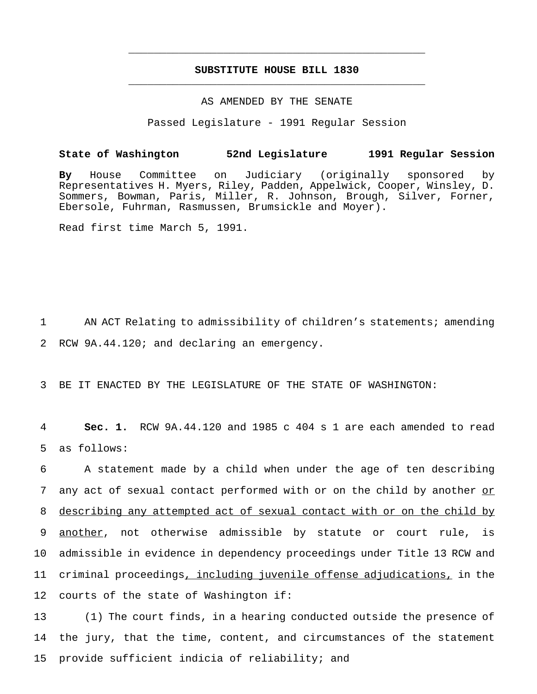# **SUBSTITUTE HOUSE BILL 1830** \_\_\_\_\_\_\_\_\_\_\_\_\_\_\_\_\_\_\_\_\_\_\_\_\_\_\_\_\_\_\_\_\_\_\_\_\_\_\_\_\_\_\_\_\_\_\_

\_\_\_\_\_\_\_\_\_\_\_\_\_\_\_\_\_\_\_\_\_\_\_\_\_\_\_\_\_\_\_\_\_\_\_\_\_\_\_\_\_\_\_\_\_\_\_

#### AS AMENDED BY THE SENATE

Passed Legislature - 1991 Regular Session

## **State of Washington 52nd Legislature 1991 Regular Session**

**By** House Committee on Judiciary (originally sponsored by Representatives H. Myers, Riley, Padden, Appelwick, Cooper, Winsley, D. Sommers, Bowman, Paris, Miller, R. Johnson, Brough, Silver, Forner, Ebersole, Fuhrman, Rasmussen, Brumsickle and Moyer).

Read first time March 5, 1991.

1 AN ACT Relating to admissibility of children's statements; amending 2 RCW 9A.44.120; and declaring an emergency.

3 BE IT ENACTED BY THE LEGISLATURE OF THE STATE OF WASHINGTON:

4 **Sec. 1.** RCW 9A.44.120 and 1985 c 404 s 1 are each amended to read 5 as follows:

 A statement made by a child when under the age of ten describing 7 any act of sexual contact performed with or on the child by another or describing any attempted act of sexual contact with or on the child by another, not otherwise admissible by statute or court rule, is admissible in evidence in dependency proceedings under Title 13 RCW and criminal proceedings, including juvenile offense adjudications, in the courts of the state of Washington if:

13 (1) The court finds, in a hearing conducted outside the presence of 14 the jury, that the time, content, and circumstances of the statement 15 provide sufficient indicia of reliability; and